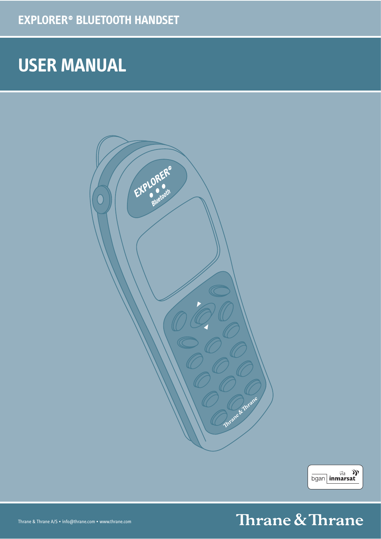# **USER MANUAL**





# Thrane & Thrane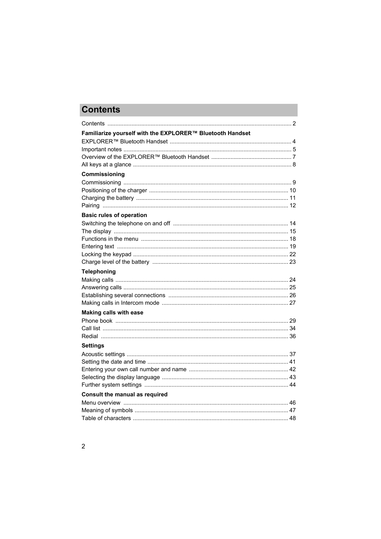# **Contents**

<span id="page-1-0"></span>

| Familiarize yourself with the EXPLORER™ Bluetooth Handset |  |
|-----------------------------------------------------------|--|
|                                                           |  |
|                                                           |  |
|                                                           |  |
| Commissioning                                             |  |
|                                                           |  |
|                                                           |  |
|                                                           |  |
|                                                           |  |
| <b>Basic rules of operation</b>                           |  |
|                                                           |  |
|                                                           |  |
|                                                           |  |
|                                                           |  |
|                                                           |  |
| <b>Telephoning</b>                                        |  |
|                                                           |  |
|                                                           |  |
|                                                           |  |
|                                                           |  |
| <b>Making calls with ease</b>                             |  |
|                                                           |  |
|                                                           |  |
|                                                           |  |
| <b>Settings</b>                                           |  |
|                                                           |  |
|                                                           |  |
|                                                           |  |
|                                                           |  |
|                                                           |  |
| <b>Consult the manual as required</b>                     |  |
|                                                           |  |
|                                                           |  |
|                                                           |  |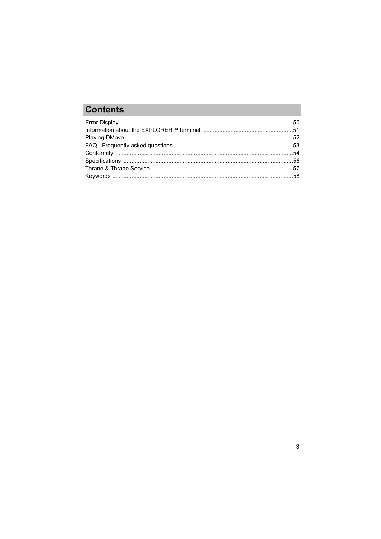# **Contents**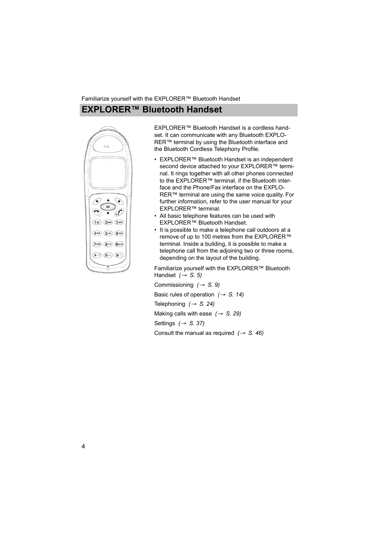## **EXPLORER™ Bluetooth Handset**

<span id="page-3-2"></span><span id="page-3-0"></span>

EXPLORER™ Bluetooth Handset is a cordless handset. It can communicate with any Bluetooth EXPLO-RER™ terminal by using the Bluetooth interface and the Bluetooth Cordless Telephony Profile.

- EXPLORER™ Bluetooth Handset is an independent second device attached to your EXPLORER™ terminal. It rings together with all other phones connected to the EXPLORER™ terminal, if the Bluetooth interface and the Phone/Fax interface on the EXPLO-RER™ terminal are using the same voice quality. For further information, refer to the user manual for your EXPLORER™ terminal.
- All basic telephone features can be used with EXPLORER™ Bluetooth Handset.
- It is possible to make a telephone call outdoors at a remove of up to 100 metres from the EXPLORER™ terminal. Inside a building, it is possible to make a telephone call from the adjoining two or three rooms, depending on the layout of the building.

Familiarize yourself with the EXPLORER™ Bluetooth Handset *(*→ *[S. 5\)](#page-4-0)*

<span id="page-3-1"></span>Commissioning *(*→ *[S. 9\)](#page-8-0)* Basic rules of operation *(*→ *[S. 14\)](#page-13-0)* Telephoning *(*→ *[S. 24\)](#page-23-0)* Making calls with ease *(*→ *[S. 29\)](#page-28-0)* Settings *(*→ *[S. 37\)](#page-36-0)* Consult the manual as required  $(\rightarrow S. 46)$  $(\rightarrow S. 46)$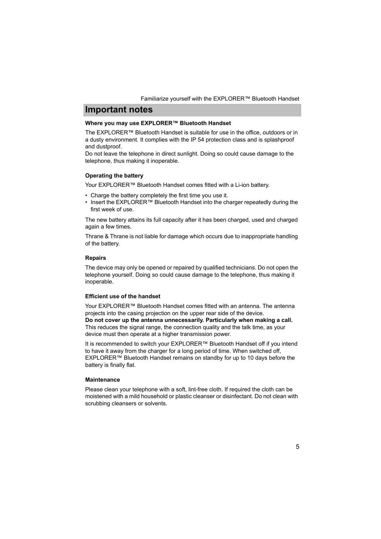## **Important notes**

#### <span id="page-4-4"></span><span id="page-4-2"></span><span id="page-4-0"></span>**Where you may use EXPLORER™ Bluetooth Handset**

The EXPLORER™ Bluetooth Handset is suitable for use in the office, outdoors or in a dusty environment. It complies with the IP 54 protection class and is splashproof and dustproof.

Do not leave the telephone in direct sunlight. Doing so could cause damage to the telephone, thus making it inoperable.

#### <span id="page-4-5"></span>**Operating the battery**

Your EXPLORER™ Bluetooth Handset comes fitted with a Li-ion battery.

- Charge the battery completely the first time you use it.
- Insert the EXPLORER™ Bluetooth Handset into the charger repeatedly during the first week of use.

The new battery attains its full capacity after it has been charged, used and charged again a few times.

Thrane & Thrane is not liable for damage which occurs due to inappropriate handling of the battery.

#### <span id="page-4-6"></span>**Repairs**

The device may only be opened or repaired by qualified technicians. Do not open the telephone yourself. Doing so could cause damage to the telephone, thus making it inoperable.

### <span id="page-4-1"></span>**Efficient use of the handset**

Your EXPLORER™ Bluetooth Handset comes fitted with an antenna. The antenna projects into the casing projection on the upper rear side of the device. **Do not cover up the antenna unnecessarily. Particularly when making a call.**

This reduces the signal range, the connection quality and the talk time, as your device must then operate at a higher transmission power.

It is recommended to switch your EXPLORER™ Bluetooth Handset off if you intend to have it away from the charger for a long period of time. When switched off, EXPLORER™ Bluetooth Handset remains on standby for up to 10 days before the battery is finally flat.

### <span id="page-4-3"></span>**Maintenance**

Please clean your telephone with a soft, lint-free cloth. If required the cloth can be moistened with a mild household or plastic cleanser or disinfectant. Do not clean with scrubbing cleansers or solvents.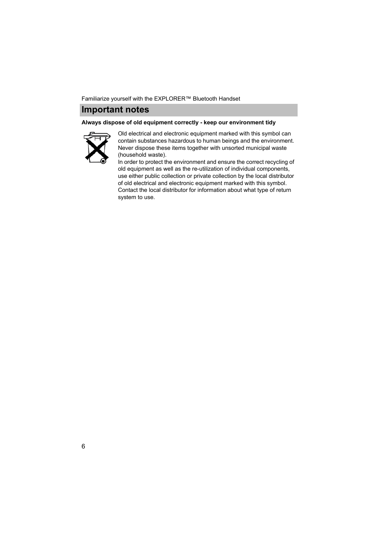## **Important notes**

#### <span id="page-5-0"></span>**Always dispose of old equipment correctly - keep our environment tidy**



Old electrical and electronic equipment marked with this symbol can contain substances hazardous to human beings and the environment. Never dispose these items together with unsorted municipal waste (household waste).

In order to protect the environment and ensure the correct recycling of old equipment as well as the re-utilization of individual components, use either public collection or private collection by the local distributor of old electrical and electronic equipment marked with this symbol. Contact the local distributor for information about what type of return system to use.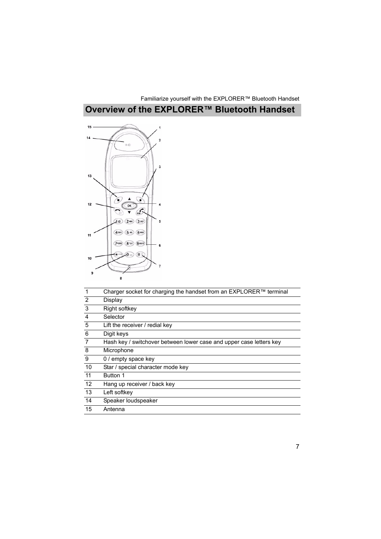# **Overview of the EXPLORER™ Bluetooth Handset**

<span id="page-6-1"></span><span id="page-6-0"></span>

| Charger socket for charging the handset from an EXPLORER™ terminal  |
|---------------------------------------------------------------------|
| Display                                                             |
| Right softkey                                                       |
| Selector                                                            |
| Lift the receiver / redial key                                      |
| Digit keys                                                          |
| Hash key / switchover between lower case and upper case letters key |
| Microphone                                                          |
| 0 / empty space key                                                 |
| Star / special character mode key                                   |
| Button 1                                                            |
| Hang up receiver / back key                                         |
| Left softkey                                                        |
| Speaker loudspeaker                                                 |
| Antenna                                                             |
|                                                                     |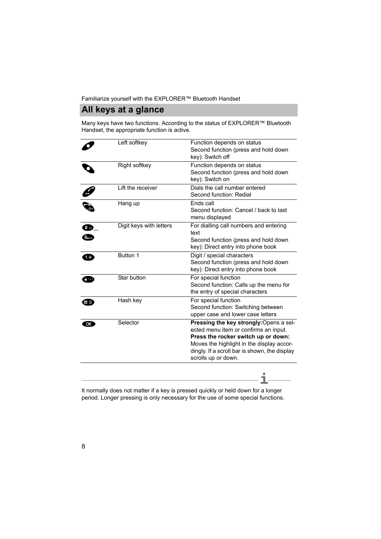## **All keys at a glance**

<span id="page-7-2"></span><span id="page-7-1"></span><span id="page-7-0"></span>Many keys have two functions. According to the status of EXPLORER<sup>™</sup> Bluetooth Handset, the appropriate function is active.

|    | Left softkey            | Function depends on status<br>Second function (press and hold down<br>key): Switch off                                                                                                                                                       |
|----|-------------------------|----------------------------------------------------------------------------------------------------------------------------------------------------------------------------------------------------------------------------------------------|
|    | Right softkey           | Function depends on status<br>Second function (press and hold down<br>key): Switch on                                                                                                                                                        |
|    | Lift the receiver       | Dials the call number entered<br>Second function: Redial                                                                                                                                                                                     |
|    | Hang up                 | Ends call<br>Second function: Cancel / back to last<br>menu displayed                                                                                                                                                                        |
| œ  | Digit keys with letters | For dialling call numbers and entering<br>text<br>Second function (press and hold down<br>key): Direct entry into phone book                                                                                                                 |
| 1@ | Button 1                | Digit / special characters<br>Second function (press and hold down<br>key): Direct entry into phone book                                                                                                                                     |
|    | Star button             | For special function<br>Second function: Calls up the menu for<br>the entry of special characters                                                                                                                                            |
|    | Hash key                | For special function<br>Second function: Switching between<br>upper case and lower case letters                                                                                                                                              |
| OK | Selector                | Pressing the key strongly: Opens a sel-<br>ected menu item or confirms an input.<br>Press the rocker switch up or down:<br>Moves the highlight in the display accor-<br>dingly. If a scroll bar is shown, the display<br>scrolls up or down. |

It normally does not matter if a key is pressed quickly or held down for a longer **i** period. Longer pressing is only necessary for the use of some special functions.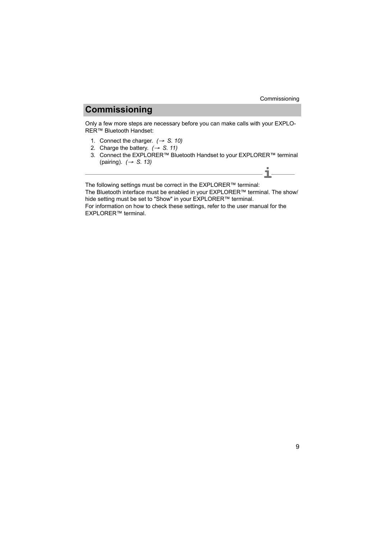## **Commissioning**

<span id="page-8-2"></span><span id="page-8-1"></span><span id="page-8-0"></span>Only a few more steps are necessary before you can make calls with your EXPLO-RER™ Bluetooth Handset:

- 1. Connect the charger.  $(\rightarrow S. 10)$  $(\rightarrow S. 10)$
- 2. Charge the battery.  $(\rightarrow S. 11)$  $(\rightarrow S. 11)$
- 3. Connect the EXPLORER™ Bluetooth Handset to your EXPLORER™ terminal (pairing). *(*→ *[S. 13\)](#page-12-0)* **i**

The following settings must be correct in the EXPLORER<sup>™</sup> terminal:

The Bluetooth interface must be enabled in your EXPLORER™ terminal. The show/ hide setting must be set to "Show" in your EXPLORER™ terminal.

For information on how to check these settings, refer to the user manual for the **EXPLORER™ terminal.**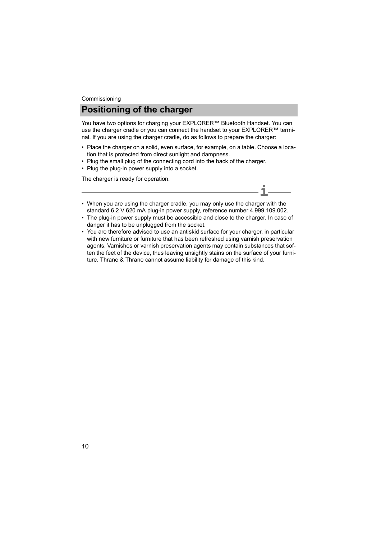## **Positioning of the charger** Commissioning

<span id="page-9-1"></span><span id="page-9-0"></span>You have two options for charging your EXPLORER™ Bluetooth Handset. You can use the charger cradle or you can connect the handset to your EXPLORER™ terminal. If you are using the charger cradle, do as follows to prepare the charger:

- Place the charger on a solid, even surface, for example, on a table. Choose a location that is protected from direct sunlight and dampness.
- Plug the small plug of the connecting cord into the back of the charger.
- Plug the plug-in power supply into a socket.

<span id="page-9-2"></span>The charger is ready for operation.

- When you are using the charger cradle, you may only use the charger with the standard 6.2 V 620 mA plug-in power supply, reference number 4.999.109.002.
- The plug-in power supply must be accessible and close to the charger. In case of danger it has to be unplugged from the socket.

**i**

• You are therefore advised to use an antiskid surface for your charger, in particular with new furniture or furniture that has been refreshed using varnish preservation agents. Varnishes or varnish preservation agents may contain substances that soften the feet of the device, thus leaving unsightly stains on the surface of your furniture. Thrane & Thrane cannot assume liability for damage of this kind.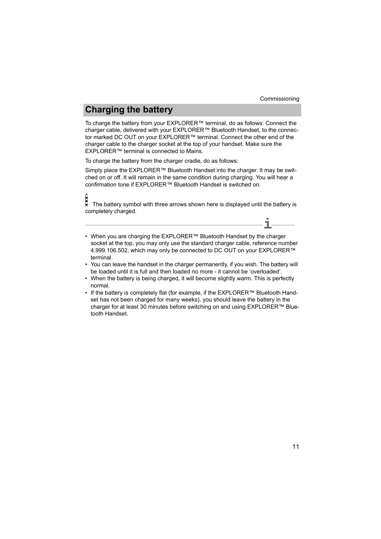**i**

# **Charging the battery**

<span id="page-10-1"></span><span id="page-10-0"></span>To charge the battery from your EXPLORER<sup>™</sup> terminal, do as follows: Connect the charger cable, delivered with your EXPLORER™ Bluetooth Handset, to the connector marked DC OUT on your EXPLORER™ terminal. Connect the other end of the charger cable to the charger socket at the top of your handset. Make sure the EXPLORER™ terminal is connected to Mains.

To charge the battery from the charger cradle, do as follows:

Simply place the EXPLORER™ Bluetooth Handset into the charger. It may be switched on or off. It will remain in the same condition during charging. You will hear a confirmation tone if EXPLORER™ Bluetooth Handset is switched on.

 The battery symbol with three arrows shown here is displayed until the battery is completely charged.

- When you are charging the EXPLORER™ Bluetooth Handset by the charger socket at the top, you may only use the standard charger cable, reference number 4.999.106.502, which may only be connected to DC OUT on your EXPLORER™ terminal.
- You can leave the handset in the charger permanently, if you wish. The battery will be loaded until it is full and then loaded no more - it cannot be 'overloaded'.
- When the battery is being charged, it will become slightly warm. This is perfectly normal.
- If the battery is completely flat (for example, if the EXPLORER™ Bluetooth Handset has not been charged for many weeks), you should leave the battery in the charger for at least 30 minutes before switching on and using EXPLORER™ Bluetooth Handset.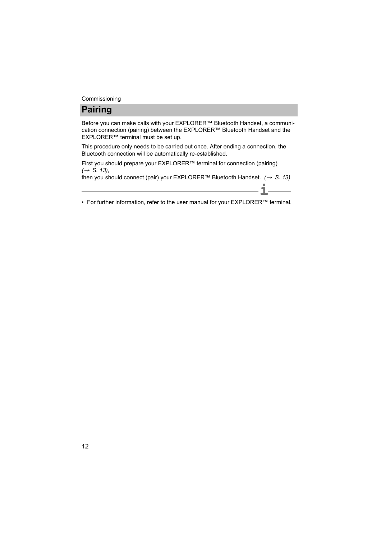# **Pairing**

<span id="page-11-0"></span>Before you can make calls with your EXPLORER™ Bluetooth Handset, a communication connection (pairing) between the EXPLORER™ Bluetooth Handset and the EXPLORER™ terminal must be set up.

This procedure only needs to be carried out once. After ending a connection, the Bluetooth connection will be automatically re-established.

First you should prepare your EXPLORER™ terminal for connection (pairing) *(*→ *[S. 13\)](#page-12-0)*,

then you should connect (pair) your EXPLORER™ Bluetooth Handset. *(*→ *[S. 13\)](#page-12-1)*

**i** • For further information, refer to the user manual for your EXPLORER™ terminal.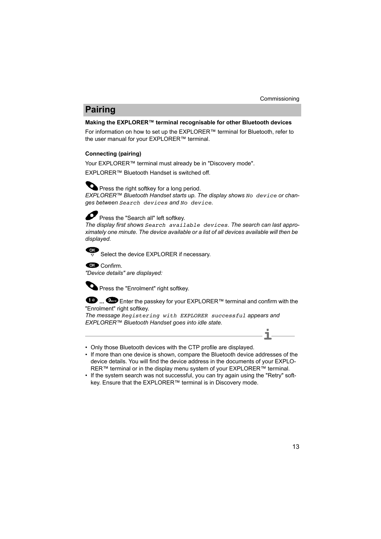# **Pairing**

### <span id="page-12-3"></span><span id="page-12-0"></span>**Making the EXPLORER™ terminal recognisable for other Bluetooth devices**

For information on how to set up the EXPLORER™ terminal for Bluetooth, refer to the user manual for your EXPLORER™ terminal.

## <span id="page-12-2"></span><span id="page-12-1"></span>**Connecting (pairing)**

Your EXPLORER™ terminal must already be in "Discovery mode".

EXPLORER™ Bluetooth Handset is switched off.

Press the right softkey for a long period.

*EXPLORER™ Bluetooth Handset starts up. The display shows No device or changes between Search devices and No device.*



Press the "Search all" left softkey.

*The display first shows Search available devices. The search can last approximately one minute. The device available or a list of all devices available will then be displayed.*



Select the device EXPLORER if necessary.

**Confirm** 

*"Device details" are displayed:*

**O** Press the "Enrolment" right softkey.

**<sup>■</sup>** ... <sup>■</sup> Enter the passkey for your EXPLORER™ terminal and confirm with the "Enrolment" right softkey.

*The message Registering with EXPLORER successful appears and EXPLORER™ Bluetooth Handset goes into idle state.*



- Only those Bluetooth devices with the CTP profile are displayed.
- If more than one device is shown, compare the Bluetooth device addresses of the device details. You will find the device address in the documents of your EXPLO-RER™ terminal or in the display menu system of your EXPLORER™ terminal.
- If the system search was not successful, you can try again using the "Retry" softkey. Ensure that the EXPLORER™ terminal is in Discovery mode.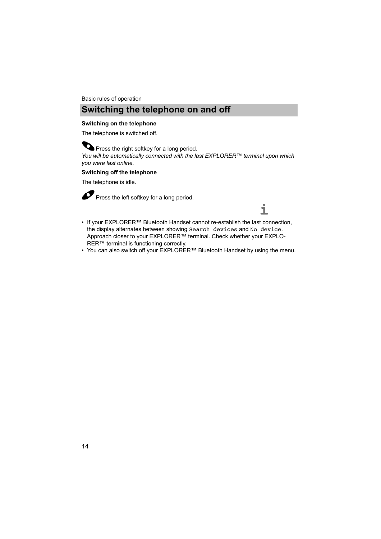## **Switching the telephone on and off**

#### <span id="page-13-3"></span><span id="page-13-2"></span><span id="page-13-1"></span><span id="page-13-0"></span>**Switching on the telephone**

The telephone is switched off.

**O** Press the right softkey for a long period. *You will be automatically connected with the last EXPLORER™ terminal upon which you were last online.*

#### **Switching off the telephone**

The telephone is idle.

Press the left softkey for a long period.

- **Note** If your EXPLORER™ Bluetooth Handset cannot re-establish the last connection, **i** the display alternates between showing Search devices and No device. Approach closer to your EXPLORER™ terminal. Check whether your EXPLO-RER™ terminal is functioning correctly.
- You can also switch off your EXPLORER™ Bluetooth Handset by using the menu.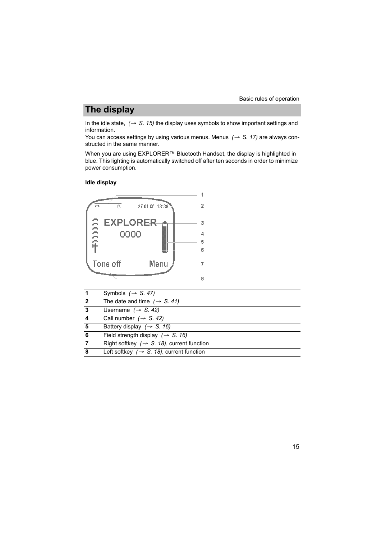# **The display**

<span id="page-14-4"></span><span id="page-14-3"></span><span id="page-14-0"></span>In the idle state,  $(\rightarrow S. 15)$  $(\rightarrow S. 15)$  the display uses symbols to show important settings and information.

You can access settings by using various menus. Menus *(*→ *[S. 17\)](#page-16-0)* are always constructed in the same manner.

When you are using EXPLORER™ Bluetooth Handset, the display is highlighted in blue. This lighting is automatically switched off after ten seconds in order to minimize power consumption.

### <span id="page-14-2"></span><span id="page-14-1"></span>**Idle display**



|   | Symbols $(\rightarrow$ S. 47)                          |
|---|--------------------------------------------------------|
| 2 | The date and time $(\rightarrow$ S. 41)                |
| 3 | Username $(\rightarrow$ S. 42)                         |
|   | Call number $(\rightarrow$ S. 42)                      |
| 5 | Battery display $(\rightarrow S. 16)$                  |
| 6 | Field strength display $(\rightarrow S. 16)$           |
|   | Right softkey $(\rightarrow S. 18)$ , current function |
| 8 | Left softkey $(\rightarrow S. 18)$ , current function  |
|   |                                                        |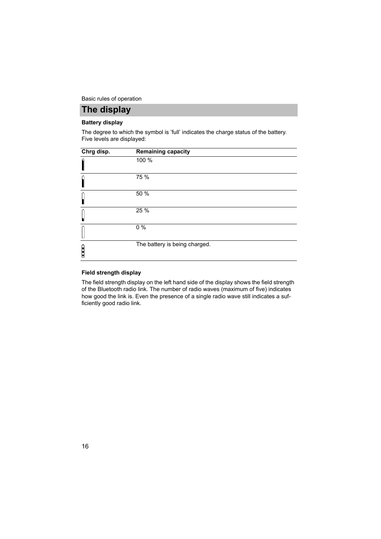Basic rules of operation

## **The display**

### <span id="page-15-0"></span>**Battery display**

The degree to which the symbol is 'full' indicates the charge status of the battery. Five levels are displayed:

| Chrg disp.              | <b>Remaining capacity</b>     |
|-------------------------|-------------------------------|
| İ                       | 100 %                         |
|                         | 75 %                          |
|                         | 50 %                          |
|                         | 25 %                          |
|                         | $\overline{0\%}$              |
| $\overline{\mathbf{r}}$ | The battery is being charged. |

#### <span id="page-15-1"></span>**Field strength display**

The field strength display on the left hand side of the display shows the field strength of the Bluetooth radio link. The number of radio waves (maximum of five) indicates how good the link is. Even the presence of a single radio wave still indicates a sufficiently good radio link.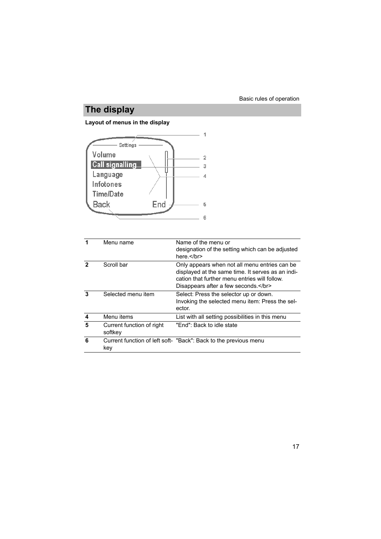# **The display**

## <span id="page-16-1"></span><span id="page-16-0"></span>**Layout of menus in the display**



|   | Menu name                            | Name of the menu or<br>designation of the setting which can be adjusted<br>here $\lt$ /br>                                                                                              |
|---|--------------------------------------|-----------------------------------------------------------------------------------------------------------------------------------------------------------------------------------------|
|   | Scroll bar                           | Only appears when not all menu entries can be.<br>displayed at the same time. It serves as an indi-<br>cation that further menu entries will follow.<br>Disappears after a few seconds. |
| 3 | Selected menu item                   | Select: Press the selector up or down.<br>Invoking the selected menu item: Press the sel-<br>ector.                                                                                     |
| 4 | Menu items                           | List with all setting possibilities in this menu                                                                                                                                        |
| 5 | Current function of right<br>softkey | "End": Back to idle state                                                                                                                                                               |
| 6 | key                                  | Current function of left soft- "Back": Back to the previous menu                                                                                                                        |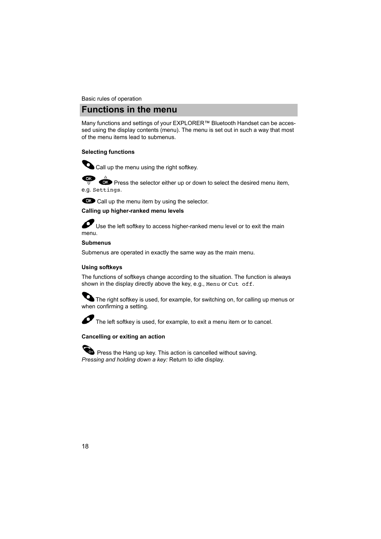## **Functions in the menu**

<span id="page-17-3"></span><span id="page-17-0"></span>Many functions and settings of your EXPLORER™ Bluetooth Handset can be accessed using the display contents (menu). The menu is set out in such a way that most of the menu items lead to submenus.

## <span id="page-17-4"></span>**Selecting functions**



Call up the menu using the right softkey.

( ок **CK** Press the selector either up or down to select the desired menu item,

e.g. Settings.



### **Calling up higher-ranked menu levels**

 Use the left softkey to access higher-ranked menu level or to exit the main menu.

### **Submenus**

Submenus are operated in exactly the same way as the main menu.

### <span id="page-17-5"></span><span id="page-17-1"></span>**Using softkeys**

The functions of softkeys change according to the situation. The function is always shown in the display directly above the key, e.g., Menu or Cut off.

The right softkey is used, for example, for switching on, for calling up menus or when confirming a setting.



The left softkey is used, for example, to exit a menu item or to cancel.

### <span id="page-17-2"></span>**Cancelling or exiting an action**

Press the Hang up key. This action is cancelled without saving. *Pressing and holding down a key:* Return to idle display.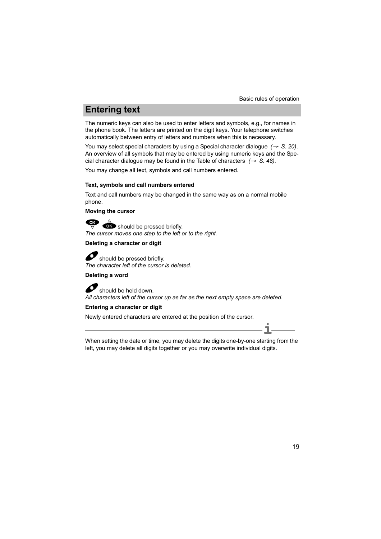# **Entering text**

<span id="page-18-2"></span><span id="page-18-0"></span>The numeric keys can also be used to enter letters and symbols, e.g., for names in the phone book. The letters are printed on the digit keys. Your telephone switches automatically between entry of letters and numbers when this is necessary.

You may select special characters by using a Special character dialogue *(*→ *[S. 20\)](#page-19-0)*. An overview of all symbols that may be entered by using numeric keys and the Special character dialogue may be found in the Table of characters  $(\rightarrow S. 48)$  $(\rightarrow S. 48)$ .

You may change all text, symbols and call numbers entered.

#### <span id="page-18-3"></span><span id="page-18-1"></span>**Text, symbols and call numbers entered**

Text and call numbers may be changed in the same way as on a normal mobile phone.

#### **Moving the cursor**

should be pressed briefly. *The cursor moves one step to the left or to the right.*

### **Deleting a character or digit**

 $\bullet$  should be pressed briefly. *The character left of the cursor is deleted.*

## **Deleting a word**

 should be held down. *All characters left of the cursor up as far as the next empty space are deleted.*

### **Entering a character or digit**

Newly entered characters are entered at the position of the cursor.

**i** When setting the date or time, you may delete the digits one-by-one starting from the left, you may delete all digits together or you may overwrite individual digits.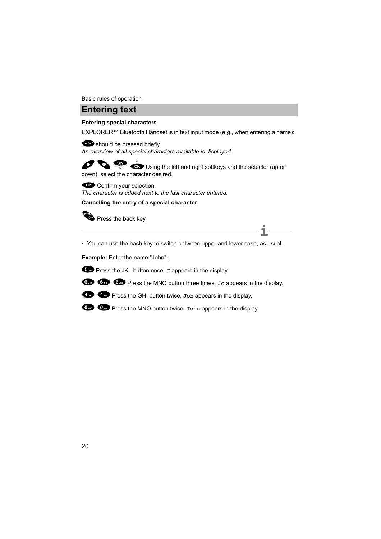Basic rules of operation

## **Entering text**

### <span id="page-19-1"></span><span id="page-19-0"></span>**Entering special characters**

EXPLORER™ Bluetooth Handset is in text input mode (e.g., when entering a name):

should be pressed briefly. *An overview of all special characters available is displayed*

 $\overrightarrow{C}$  Using the left and right softkeys and the selector (up or down), select the character desired.

Confirm your selection.

*The character is added next to the last character entered.*

**Cancelling the entry of a special character**



Press the back key.

**i** • You can use the hash key to switch between upper and lower case, as usual.

**Example:** Enter the name "John":



**Com Com** Press the MNO button three times. Jo appears in the display.



**Co** Press the GHI button twice. Joh appears in the display.

**Com** Press the MNO button twice. John appears in the display.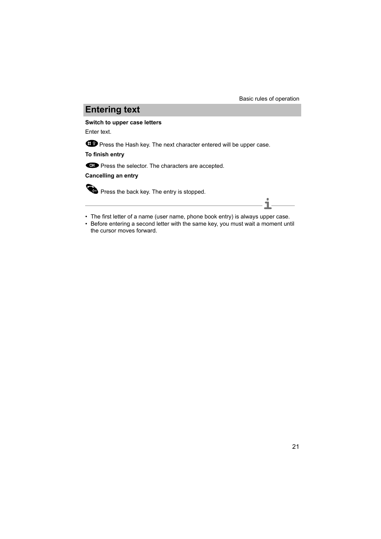**i**

# **Entering text**

#### **Switch to upper case letters**

Enter text.

**CO** Press the Hash key. The next character entered will be upper case.

**To finish entry**

**OK** Press the selector. The characters are accepted.

**Cancelling an entry**

Press the back key. The entry is stopped.

- The first letter of a name (user name, phone book entry) is always upper case.
- Before entering a second letter with the same key, you must wait a moment until the cursor moves forward.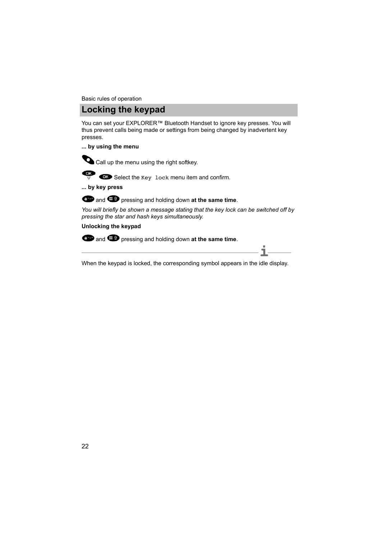## **Locking the keypad**

<span id="page-21-1"></span><span id="page-21-0"></span>You can set your EXPLORER<sup>™</sup> Bluetooth Handset to ignore key presses. You will thus prevent calls being made or settings from being changed by inadvertent key presses.

#### **... by using the menu**



 $C$ 

Call up the menu using the right softkey.

Select the Key lock menu item and confirm.

**... by key press**



*You will briefly be shown a message stating that the key lock can be switched off by pressing the star and hash keys simultaneously.*

#### **Unlocking the keypad**

**3** and **p** pressing and holding down at the same time.

**i** When the keypad is locked, the corresponding symbol appears in the idle display.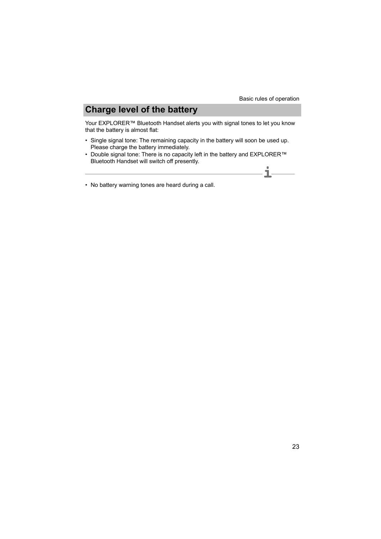# **Charge level of the battery**

<span id="page-22-1"></span><span id="page-22-0"></span>Your EXPLORER™ Bluetooth Handset alerts you with signal tones to let you know that the battery is almost flat:

- Single signal tone: The remaining capacity in the battery will soon be used up. Please charge the battery immediately.
- Double signal tone: There is no capacity left in the battery and EXPLORER™ Bluetooth Handset will switch off presently. **i**
- No battery warning tones are heard during a call.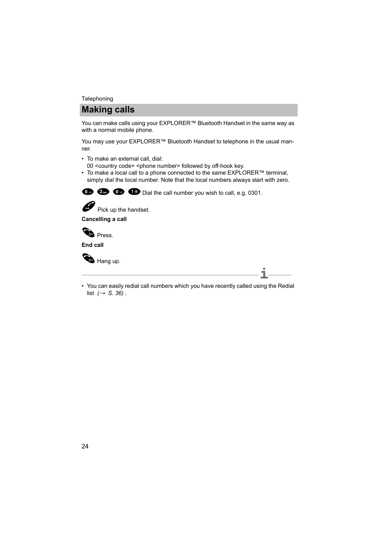#### **Telephoning**

## **Making calls**

<span id="page-23-3"></span><span id="page-23-0"></span>You can make calls using your EXPLORER™ Bluetooth Handset in the same way as with a normal mobile phone.

<span id="page-23-2"></span><span id="page-23-1"></span>You may use your EXPLORER™ Bluetooth Handset to telephone in the usual manner.

- To make an external call, dial: 00 <country code> <phone number> followed by off-hook key.
- To make a local call to a phone connected to the same EXPLORER™ terminal, simply dial the local number. Note that the local numbers always start with zero.

 $\bullet$   $\bullet$   $\bullet$   $\bullet$  Dial the call number you wish to call, e.g. 0301.



Pick up the handset.

**Cancelling a call**



**End call**



Hang up.

**i** • You can easily redial call numbers which you have recently called using the Redial list *(*→ *[S. 36\)](#page-35-0)* .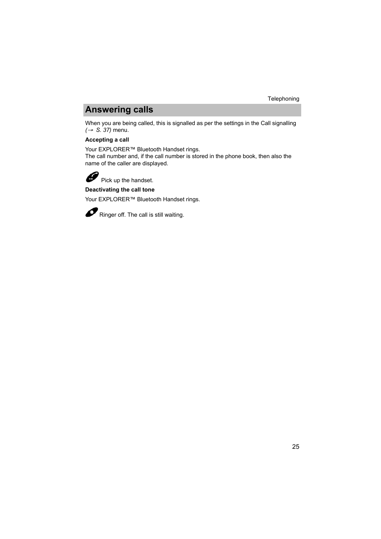## **Answering calls**

<span id="page-24-1"></span><span id="page-24-0"></span>When you are being called, this is signalled as per the settings in the Call signalling *(*→ *[S. 37\)](#page-36-2)* menu.

### **Accepting a call**

Your EXPLORER™ Bluetooth Handset rings.

The call number and, if the call number is stored in the phone book, then also the name of the caller are displayed.



Pick up the handset.

### **Deactivating the call tone**

Your EXPLORER™ Bluetooth Handset rings.



Ringer off. The call is still waiting.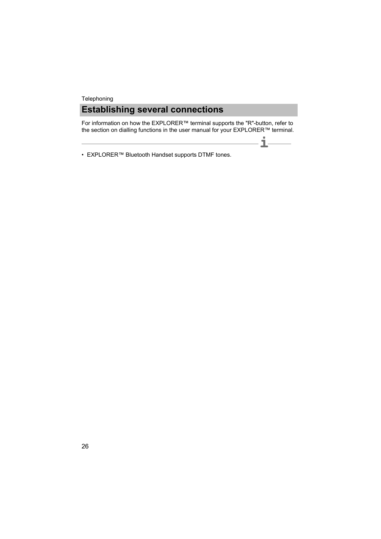## **Establishing several connections Telephoning**

<span id="page-25-1"></span><span id="page-25-0"></span>**Establishing several connections** For information on how the EXPLORER™ terminal supports the "R"-button, refer to the section on dialling functions in the user manual for your EXPLORER™ terminal.

**i**

 $\overline{\phantom{0}}$ 

**Note** • EXPLORER™ Bluetooth Handset supports DTMF tones.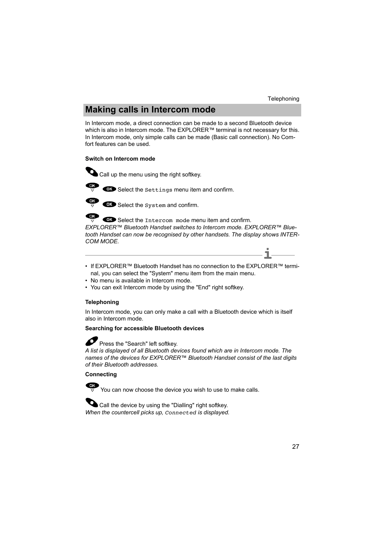# **Making calls in Intercom mode**

<span id="page-26-1"></span><span id="page-26-0"></span>In Intercom mode, a direct connection can be made to a second Bluetooth device which is also in Intercom mode. The EXPLORER™ terminal is not necessary for this. In Intercom mode, only simple calls can be made (Basic call connection). No Comfort features can be used.

### <span id="page-26-2"></span>**Switch on Intercom mode**

- Call up the menu using the right softkey.
	- OK Select the Settings menu item and confirm.



OK Select the System and confirm.

OK Select the Intercom mode menu item and confirm.

*EXPLORER™ Bluetooth Handset switches to Intercom mode. EXPLORER™ Bluetooth Handset can now be recognised by other handsets. The display shows INTER-COM MODE.*

- **i** • If FXPI ORER™ Bluetooth Handset has no connection to the EXPLORER™ terminal, you can select the "System" menu item from the main menu.
- No menu is available in Intercom mode.
- You can exit Intercom mode by using the "End" right softkey.

## <span id="page-26-3"></span>**Telephoning**

In Intercom mode, you can only make a call with a Bluetooth device which is itself also in Intercom mode.

### **Searching for accessible Bluetooth devices**



 $\bullet$  Press the "Search" left softkey.

*A list is displayed of all Bluetooth devices found which are in Intercom mode. The names of the devices for EXPLORER™ Bluetooth Handset consist of the last digits of their Bluetooth addresses.*

## **Connecting**

 $\frac{dx}{y}$  You can now choose the device you wish to use to make calls.

Call the device by using the "Dialling" right softkey. *When the countercell picks up, Connected is displayed.*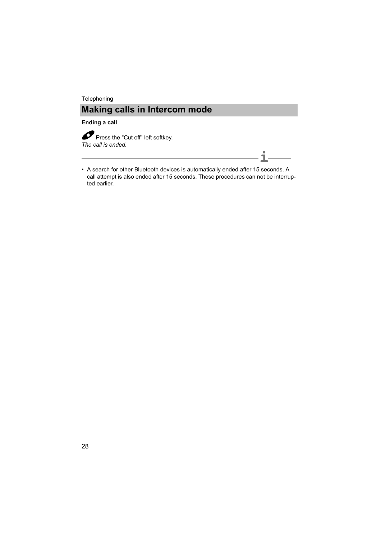#### **Ending a call**

Press the "Cut off" left softkey. *The call is ended.*

• A search for other Bluetooth devices is automatically ended after 15 seconds. A call attempt is also ended after 15 seconds. These procedures can not be interrupted earlier.

**i**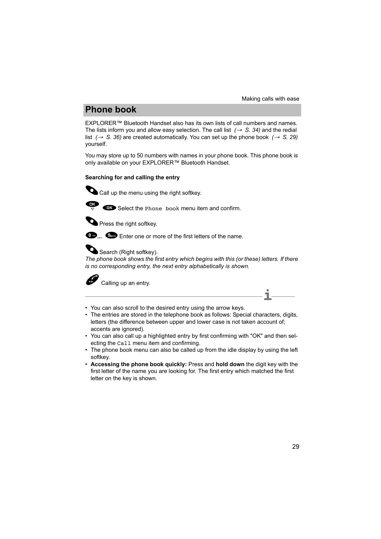**i**

# **Phone book**

<span id="page-28-2"></span><span id="page-28-0"></span>EXPLORER™ Bluetooth Handset also has its own lists of call numbers and names. The lists inform you and allow easy selection. The call list *(*→ *[S. 34\)](#page-33-0)* and the redial list *(*→ *[S. 36\)](#page-35-0)* are created automatically. You can set up the phone book *(*→ *[S. 29\)](#page-28-1)* yourself.

<span id="page-28-3"></span><span id="page-28-1"></span>You may store up to 50 numbers with names in your phone book. This phone book is only available on your EXPLORER™ Bluetooth Handset.

### <span id="page-28-4"></span>**Searching for and calling the entry**

Call up the menu using the right softkey.



 $\overline{\mathbf{S}}$   $\overline{\mathbf{S}}$  Select the Phone book menu item and confirm.



**Press the right softkey.** 



AI

**12...** Come Enter one or more of the first letters of the name.



*The phone book shows the first entry which begins with this (or these) letters. If there is no corresponding entry, the next entry alphabetically is shown.*

Calling up an entry.

- You can also scroll to the desired entry using the arrow keys.
- The entries are stored in the telephone book as follows: Special characters, digits, letters (the difference between upper and lower case is not taken account of; accents are ignored).
- You can also call up a highlighted entry by first confirming with "OK" and then selecting the Call menu item and confirming.
- The phone book menu can also be called up from the idle display by using the left softkey.
- **Accessing the phone book quickly:** Press and **hold down** the digit key with the first letter of the name you are looking for. The first entry which matched the first letter on the key is shown.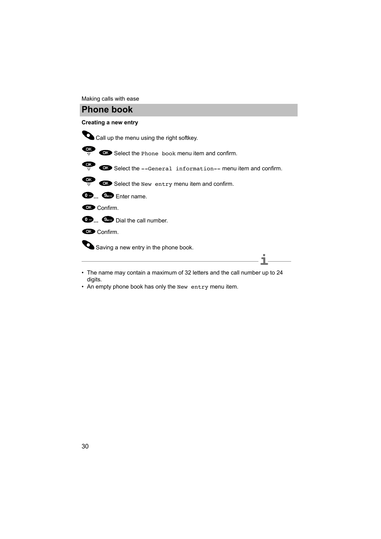Making calls with ease

## **Phone book**

#### <span id="page-29-0"></span>**Creating a new entry**



- **Note** The name may contain a maximum of 32 letters and the call number up to 24 digits.
- An empty phone book has only the New entry menu item.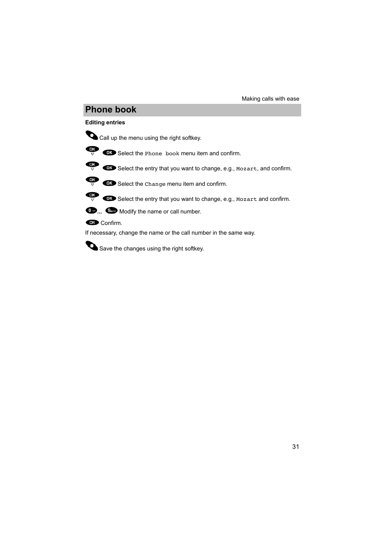## **Phone book**

### <span id="page-30-0"></span>**Editing entries**



Call up the menu using the right softkey.



 $\overrightarrow{CP}$  Select the Phone book menu item and confirm.



 $\overrightarrow{CP}$  Select the entry that you want to change, e.g., Mozart, and confirm.



 $\overrightarrow{CP}$   $\overrightarrow{CD}$  Select the Change menu item and confirm.



 $\overrightarrow{CP}$   $\overrightarrow{CD}$  Select the entry that you want to change, e.g., Mozart and confirm.



**Confirm.** 

If necessary, change the name or the call number in the same way.

Save the changes using the right softkey.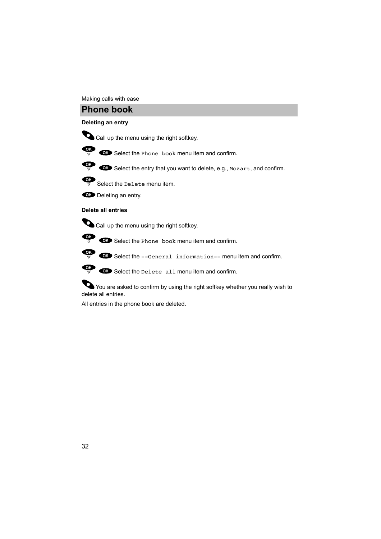#### Making calls with ease

## **Phone book**

#### <span id="page-31-1"></span>**Deleting an entry**



Call up the menu using the right softkey.



 $\overrightarrow{CP}$  Select the Phone book menu item and confirm.



 $\overrightarrow{CP}$   $\overrightarrow{OP}$  Select the entry that you want to delete, e.g., Mozart, and confirm.



 $\frac{1}{\sqrt{2}}$  Select the Delete menu item.



OK Deleting an entry.

#### <span id="page-31-0"></span>**Delete all entries**

Call up the menu using the right softkey.



 $\overrightarrow{or}$   $\overrightarrow{or}$  Select the Phone book menu item and confirm.



 $\overrightarrow{CP}$   $\overrightarrow{CP}$  Select the Delete all menu item and confirm.

You are asked to confirm by using the right softkey whether you really wish to delete all entries.

All entries in the phone book are deleted.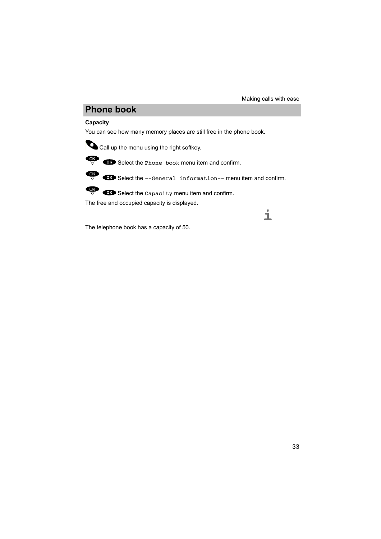**i**

# **Phone book**

## <span id="page-32-0"></span>**Capacity**

You can see how many memory places are still free in the phone book.



Call up the menu using the right softkey.



 $\overrightarrow{OR}$   $\overrightarrow{OR}$  Select the Phone book menu item and confirm.



 $\overrightarrow{CP}$   $\overrightarrow{CP}$  Select the --General information-- menu item and confirm.



 $\overrightarrow{CP}$   $\overrightarrow{CD}$  Select the Capacity menu item and confirm.

The free and occupied capacity is displayed.

**Note** The telephone book has a capacity of 50.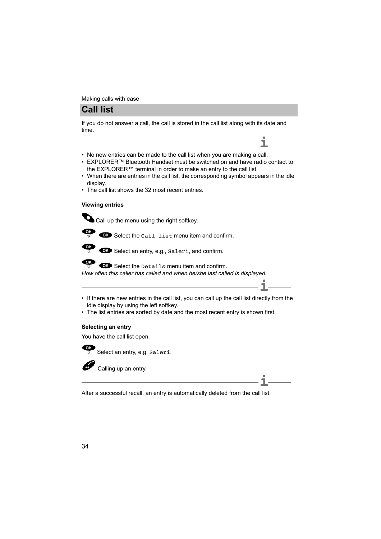## **Call list**

<span id="page-33-1"></span><span id="page-33-0"></span>**Call list** If you do not answer a call, the call is stored in the call list along with its date and time.

- No new entries can be made to the call list when you are making a call.
- EXPLORER™ Bluetooth Handset must be switched on and have radio contact to the EXPLORER™ terminal in order to make an entry to the call list.

**i**

**i**

- When there are entries in the call list, the corresponding symbol appears in the idle display.
- The call list shows the 32 most recent entries.

#### <span id="page-33-3"></span>**Viewing entries**

Call up the menu using the right softkey.



 $\overrightarrow{CP}$  **C**Select the Call list menu item and confirm.



Select an entry, e.g., Saleri, and confirm.

**QK** Select the Details menu item and confirm. *How often this caller has called and when he/she last called is displayed.*

- If there are new entries in the call list, you can call up the call list directly from the idle display by using the left softkey.
- The list entries are sorted by date and the most recent entry is shown first.

### <span id="page-33-2"></span>**Selecting an entry**

You have the call list open.



 $\overline{\mathbb{S}}$  Select an entry, e.g. Saleri.

Calling up an entry.

**i** After a successful recall, an entry is automatically deleted from the call list.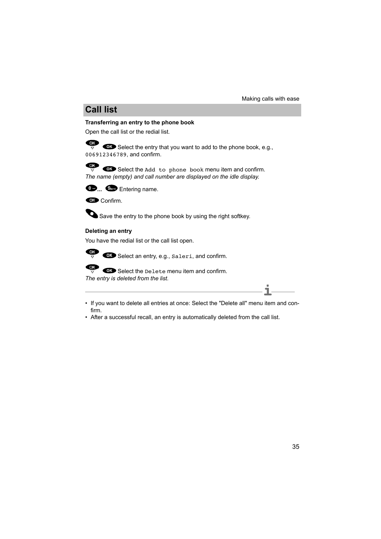# **Call list**

## <span id="page-34-2"></span><span id="page-34-0"></span>**Transferring an entry to the phone book**

Open the call list or the redial list.

**COK** Select the entry that you want to add to the phone book, e.g., 006912346789, and confirm.

Select the Add to phone book menu item and confirm. *The name (empty) and call number are displayed on the idle display.*



**...** Entering name.



Save the entry to the phone book by using the right softkey.

### <span id="page-34-1"></span>**Deleting an entry**

You have the redial list or the call list open.



OK

 $\overrightarrow{or}$   $\overrightarrow{or}$  Select an entry, e.g.,  $\overrightarrow{sa}$  and confirm.

OK Select the Delete menu item and confirm.

*The entry is deleted from the list.*

- **i** • If you want to delete all entries at once: Select the "Delete all" menu item and confirm.
- After a successful recall, an entry is automatically deleted from the call list.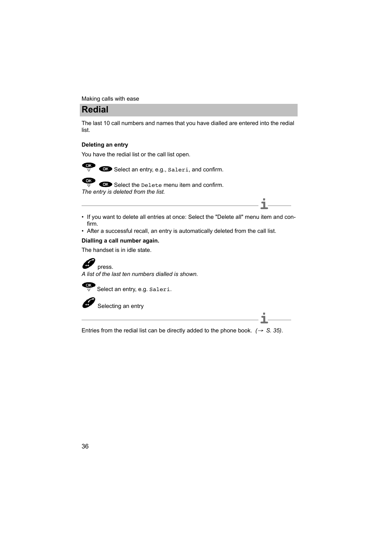## **Redial**

<span id="page-35-2"></span><span id="page-35-0"></span>**Redial** The last 10 call numbers and names that you have dialled are entered into the redial list.

## <span id="page-35-1"></span>**Deleting an entry**

You have the redial list or the call list open.



Select an entry, e.g., Saleri, and confirm.

Select the Delete menu item and confirm. *The entry is deleted from the list.*

- **i** • If you want to delete all entries at once: Select the "Delete all" menu item and confirm.
- After a successful recall, an entry is automatically deleted from the call list.

### **Dialling a call number again.**

The handset is in idle state.



*A list of the last ten numbers dialled is shown.*

œ Select an entry, e.g. Saleri.

Selecting an entry

**i** Entries from the redial list can be directly added to the phone book.  $(\rightarrow S. 35)$  $(\rightarrow S. 35)$ .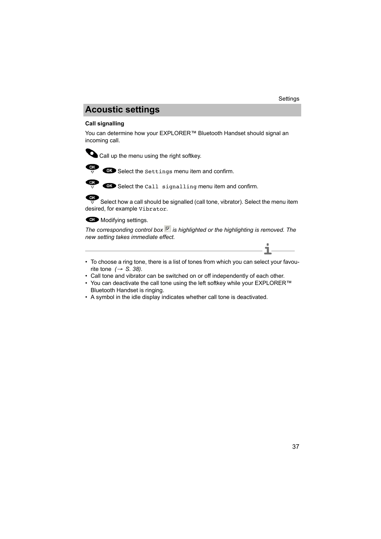# **Acoustic settings**

## <span id="page-36-4"></span><span id="page-36-3"></span><span id="page-36-2"></span><span id="page-36-1"></span><span id="page-36-0"></span>**Call signalling**

You can determine how your EXPLORER™ Bluetooth Handset should signal an incoming call.



Call up the menu using the right softkey.



 $\overrightarrow{CP}$   $\overrightarrow{CB}$  Select the settings menu item and confirm.



 $\overline{\bullet}$  Select the Call signalling menu item and confirm.

 $\overline{\text{OK}}$ 

 $\overline{\overline{z}}$  Select how a call should be signalled (call tone, vibrator). Select the menu item desired, for example Vibrator.

**CIO** Modifying settings.

The corresponding control box  $\overline{V}$  is highlighted or the highlighting is removed. The *new setting takes immediate effect.*

- **i** • To choose a ring tone, there is a list of tones from which you can select your favourite tone *(*→ *[S. 38\)](#page-37-0)*.
- Call tone and vibrator can be switched on or off independently of each other.
- You can deactivate the call tone using the left softkey while your EXPLORER™ Bluetooth Handset is ringing.
- A symbol in the idle display indicates whether call tone is deactivated.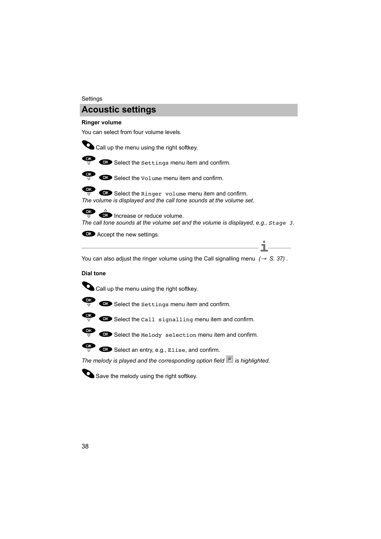#### **Settings**

## **Acoustic settings**

#### <span id="page-37-3"></span><span id="page-37-1"></span>**Ringer volume**

You can select from four volume levels.



Call up the menu using the right softkey.



 $\overrightarrow{OS}$   $\overrightarrow{OS}$  Select the settings menu item and confirm.



 $\overrightarrow{CP}$  **GD** Select the Volume menu item and confirm.

 $\overrightarrow{CP}$   $\overrightarrow{CP}$  Select the Ringer volume menu item and confirm. *The volume is displayed and the call tone sounds at the volume set.*



OR Increase or reduce volume. *The call tone sounds at the volume set and the volume is displayed, e.g., Stage 3.*

**Accept the new settings.** 

**Note** You can also adjust the ringer volume using the Call signalling menu *(*→ *[S. 37\)](#page-36-2)* . **i**

#### <span id="page-37-2"></span><span id="page-37-0"></span>**Dial tone**



Call up the menu using the right softkey.



 $\overrightarrow{CP}$   $\overrightarrow{CP}$  Select the settings menu item and confirm.



 $\overrightarrow{CP}$   $\overrightarrow{CP}$  Select the Call signalling menu item and confirm.



 $\overline{\mathbb{CP}}$   $\overline{\mathbb{CP}}$  Select the Melody selection menu item and confirm.



*The melody is played and the corresponding option field* <sup>6</sup> is highlighted.



Save the melody using the right softkey.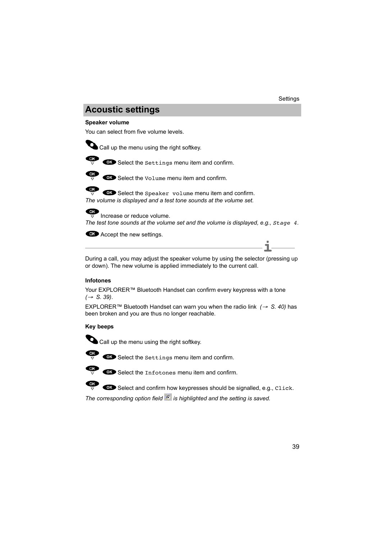# **Acoustic settings**

### <span id="page-38-4"></span><span id="page-38-0"></span>**Speaker volume**

You can select from five volume levels.



Call up the menu using the right softkey.



 $\overline{\mathbb{C}}$   $\overline{\mathbb{C}}$  Select the settings menu item and confirm.



Select the Volume menu item and confirm.

OK Select the Speaker volume menu item and confirm. *The volume is displayed and a test tone sounds at the volume set.*



Increase or reduce volume.

*The test tone sounds at the volume set and the volume is displayed, e.g., Stage 4.*

**CO** Accept the new settings.

**i** During a call, you may adjust the speaker volume by using the selector (pressing up or down). The new volume is applied immediately to the current call.

### <span id="page-38-2"></span><span id="page-38-1"></span>**Infotones**

Your EXPLORER™ Bluetooth Handset can confirm every keypress with a tone *(*→ *S. 39)*.

EXPLORER™ Bluetooth Handset can warn you when the radio link *(*→ *S. 40)* has been broken and you are thus no longer reachable.

### <span id="page-38-3"></span>**Key beeps**



Call up the menu using the right softkey.



 $\overrightarrow{CP}$   $\overrightarrow{CP}$  Select the settings menu item and confirm.



Select the Infotones menu item and confirm.



The corresponding option field <sup>c</sup> is highlighted and the setting is saved.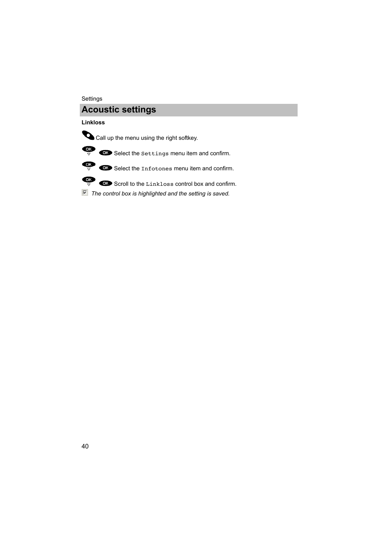#### Settings

## **Acoustic settings**

### <span id="page-39-0"></span>**Linkloss**



Call up the menu using the right softkey.



 $\overrightarrow{CP}$  Select the settings menu item and confirm.



 $\overrightarrow{OR}$   $\overrightarrow{OR}$  Select the Infotones menu item and confirm.



 $\overline{\bullet}$   $\overline{\bullet}$  Scroll to the Linkloss control box and confirm.

*The control box is highlighted and the setting is saved.*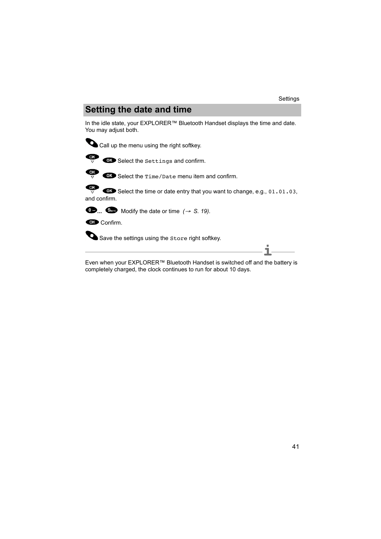# **Setting the date and time**

<span id="page-40-1"></span><span id="page-40-0"></span>**Setting the date and time** In the idle state, your EXPLORER™ Bluetooth Handset displays the time and date. You may adjust both.



Call up the menu using the right softkey.



 $\overrightarrow{CP}$  Select the Settings and confirm.



Select the Time/Date menu item and confirm.

 $QK$ Select the time or date entry that you want to change, e.g., 01.01.03, and confirm.



 $\bullet$  Modify the date or time  $(\rightarrow S. 19)$  $(\rightarrow S. 19)$ .

Confirm.

Save the settings using the Store right softkey.

**i** Even when your EXPLORER™ Bluetooth Handset is switched off and the battery is completely charged, the clock continues to run for about 10 days.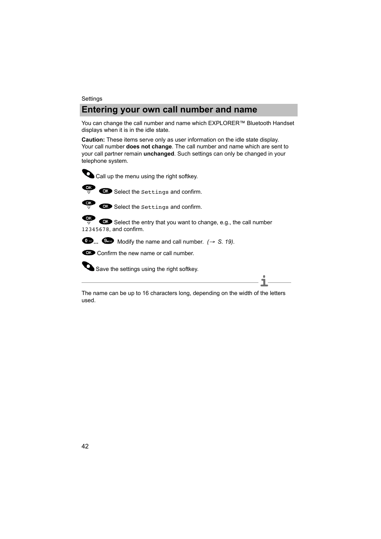#### **Settings**

## **Entering your own call number and name**

<span id="page-41-1"></span><span id="page-41-0"></span>You can change the call number and name which EXPLORER™ Bluetooth Handset displays when it is in the idle state.

**Caution:** These items serve only as user information on the idle state display. Your call number **does not change**. The call number and name which are sent to your call partner remain **unchanged**. Such settings can only be changed in your telephone system.





OK Select the Settings and confirm.



Select the Settings and confirm.

OK Select the entry that you want to change, e.g., the call number 12345678, and confirm.



 $\bullet$  **...**  $\bullet$  Modify the name and call number.  $\rightarrow$  [S. 19\)](#page-18-1).

Confirm the new name or call number.

Save the settings using the right softkey.

**i** The name can be up to 16 characters long, depending on the width of the letters used.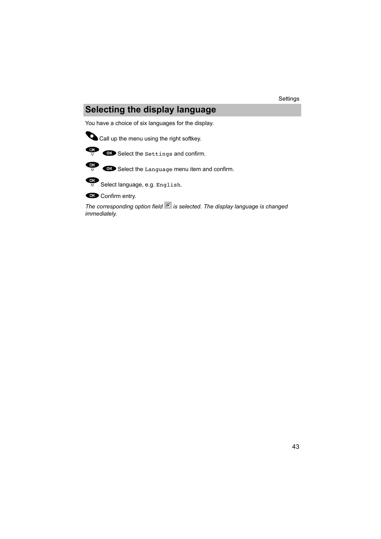# **Selecting the display language**

<span id="page-42-1"></span><span id="page-42-0"></span>You have a choice of six languages for the display.



Call up the menu using the right softkey.



 $\overrightarrow{OR}$  Select the Settings and confirm.



 $\overrightarrow{or}$   $\overrightarrow{or}$  Select the Language menu item and confirm.



Select language, e.g. English.

**Confirm entry.** 

*The corresponding option field* <sup>G</sup> is selected. The display language is changed *immediately.*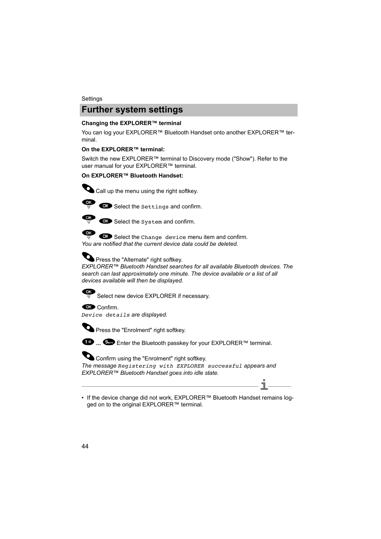## **Further system settings**

### <span id="page-43-2"></span><span id="page-43-1"></span><span id="page-43-0"></span>Changing the EXPLORER™ terminal

You can log your EXPLORER™ Bluetooth Handset onto another EXPLORER™ terminal.

#### **On the EXPLORER™ terminal:**

Switch the new EXPLORER™ terminal to Discovery mode ("Show"). Refer to the user manual for your EXPLORER™ terminal.

## **On EXPLORER™ Bluetooth Handset:**



Call up the menu using the right softkey.



 $\overline{\mathbf{S}}$   $\overline{\mathbf{S}}$  Select the settings and confirm.



Select the System and confirm.

 $\overline{\phantom{a}}$  Select the Change device menu item and confirm. *You are notified that the current device data could be deleted.*



*EXPLORER™ Bluetooth Handset searches for all available Bluetooth devices. The search can last approximately one minute. The device available or a list of all devices available will then be displayed.*



**OK** Confirm

*Device details are displayed.*



**O** Press the "Enrolment" right softkey.

**<sup>■</sup> ... ●** Enter the Bluetooth passkey for your EXPLORER™ terminal.

Confirm using the "Enrolment" right softkey. *The message Registering with EXPLORER successful appears and EXPLORER™ Bluetooth Handset goes into idle state.*

• If the device change did not work, EXPLORER™ Bluetooth Handset remains logged on to the original EXPLORER™ terminal.

**i**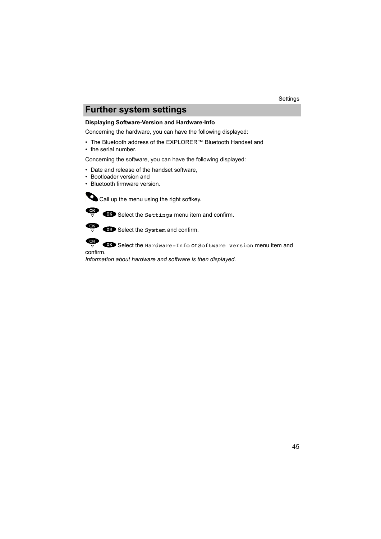# **Further system settings**

### <span id="page-44-1"></span><span id="page-44-0"></span>**Displaying Software-Version and Hardware-Info**

Concerning the hardware, you can have the following displayed:

- The Bluetooth address of the EXPLORER™ Bluetooth Handset and
- the serial number.

Concerning the software, you can have the following displayed:

- Date and release of the handset software,
- Bootloader version and
- Bluetooth firmware version.

Call up the menu using the right softkey.



 $\overrightarrow{CP}$   $\overrightarrow{OP}$  Select the settings menu item and confirm.



OK Select the System and confirm.



OK Select the Hardware-Info or Software version menu item and

confirm.

*Information about hardware and software is then displayed.*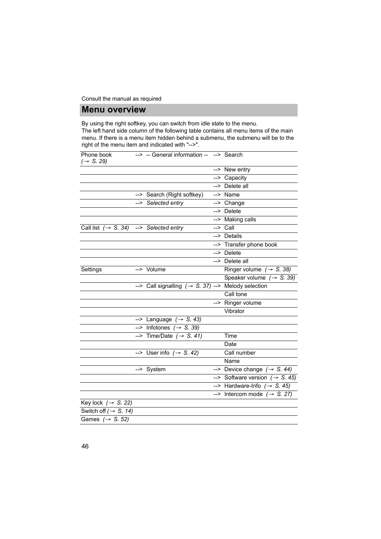## **Menu overview**

<span id="page-45-3"></span><span id="page-45-2"></span><span id="page-45-1"></span><span id="page-45-0"></span>By using the right softkey, you can switch from idle state to the menu.

The left hand side column of the following table contains all menu items of the main menu. If there is a menu item hidden behind a submenu, the submenu will be to the right of the menu item and indicated with "-->".

| Phone book<br>$(\rightarrow$ S. 29)                | --> -- General information -- --> Search                       |                                             |
|----------------------------------------------------|----------------------------------------------------------------|---------------------------------------------|
|                                                    |                                                                | --> New entry                               |
|                                                    |                                                                | --> Capacity                                |
|                                                    |                                                                | --> Delete all                              |
|                                                    | --> Search (Right softkey)                                     | $\overline{\rightarrow}$ Name               |
|                                                    | --> Selected entry                                             | --> Change                                  |
|                                                    |                                                                | $\overline{\phantom{1}}$ Delete             |
|                                                    |                                                                | --> Making calls                            |
| Call list $(\rightarrow S. 34)$ --> Selected entry |                                                                | $\Rightarrow$ Call                          |
|                                                    |                                                                | --> Details                                 |
|                                                    |                                                                | --> Transfer phone book                     |
|                                                    |                                                                | --> Delete                                  |
|                                                    |                                                                | --> Delete all                              |
| Settings                                           | --> Volume                                                     | Ringer volume $(\rightarrow$ S. 38)         |
|                                                    |                                                                | Speaker volume $(\rightarrow S. 39)$        |
|                                                    | --> Call signalling $(\rightarrow S. 37)$ --> Melody selection |                                             |
|                                                    |                                                                | Call tone                                   |
|                                                    |                                                                | --> Ringer volume                           |
|                                                    |                                                                | Vibrator                                    |
|                                                    | --> Language $(\rightarrow$ S. 43)                             |                                             |
|                                                    | $\overline{\left(-\right)}$ Infotones ( $\rightarrow$ S. 39)   |                                             |
|                                                    | --> Time/Date $(\rightarrow$ S. 41)                            | Time                                        |
|                                                    |                                                                | Date                                        |
|                                                    | --> User info $(\rightarrow$ S. 42)                            | Call number                                 |
|                                                    |                                                                | Name                                        |
|                                                    | --> System                                                     | --> Device change $(\rightarrow S. 44)$     |
|                                                    |                                                                | --> Software version $( \rightarrow S. 45)$ |
|                                                    |                                                                | --> Hardware-Info $(\rightarrow$ S. 45)     |
|                                                    |                                                                | --> Intercom mode $(\rightarrow$ S. 27)     |
| Key lock $(\rightarrow$ S. 22)                     |                                                                |                                             |
| Switch off $(\rightarrow$ S. 14)                   |                                                                |                                             |
| Games $(\rightarrow$ S. 52)                        |                                                                |                                             |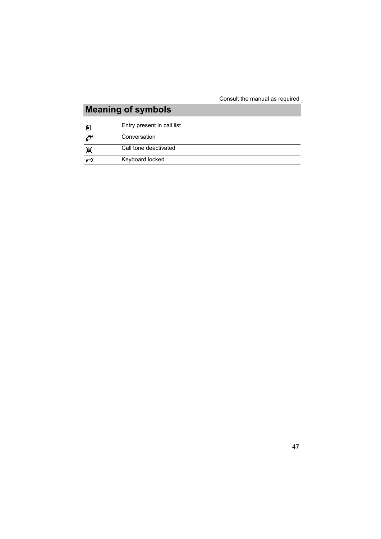# **Meaning of symbols**

<span id="page-46-1"></span><span id="page-46-0"></span>

| E  | Entry present in call list |
|----|----------------------------|
| ZУ | Conversation               |
| 冪  | Call tone deactivated      |
| U  | Keyboard locked            |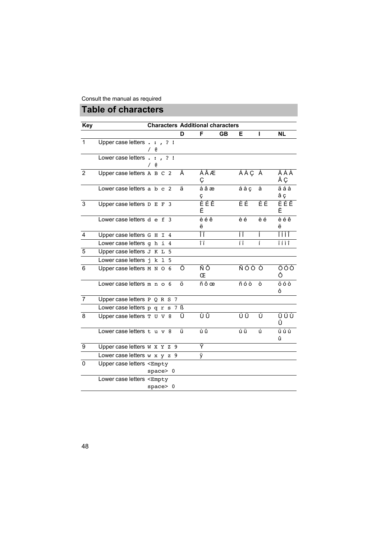# **Table of characters**

<span id="page-47-1"></span><span id="page-47-0"></span>

| <b>Key</b>     |                                                                                                                              |   |                   |   |          | <b>Characters Additional characters</b> |       |    |           |
|----------------|------------------------------------------------------------------------------------------------------------------------------|---|-------------------|---|----------|-----------------------------------------|-------|----|-----------|
|                |                                                                                                                              |   |                   | D | F        | <b>GB</b>                               | E.    | ı  | <b>NL</b> |
| $\mathbf 1$    | Upper case letters . : , ? !                                                                                                 | e |                   |   |          |                                         |       |    |           |
|                | Lower case letters .                                                                                                         | e | $\therefore$ , ?! |   |          |                                         |       |    |           |
| $\overline{2}$ | Upper case letters A B C 2                                                                                                   |   |                   | Ä | ÀÂÆ<br>Ç |                                         | ÁÀÇ À |    | ÄÁÀ<br>ÂÇ |
|                | Lower case letters a b c 2                                                                                                   |   |                   | ä | àâæ<br>Ç |                                         | áàç   | à  | äáà<br>âç |
| 3              | Upper case letters D E F 3                                                                                                   |   |                   |   | ÈÉÊ<br>Ë |                                         | ÈÉ    | ÈÉ | ÈÉÊ<br>Ë  |
|                | Lower case letters $d \text{ } e \text{ } f \text{ } 3$                                                                      |   |                   |   | èéê<br>ë |                                         | è é   | èé | èéê<br>ë  |
| 4              | Upper case letters G H I 4                                                                                                   |   |                   |   | ÎΪ       |                                         | ÍΪ    |    | ïíìî      |
|                | Lower case letters $q h i 4$                                                                                                 |   |                   |   | îΪ       |                                         | ÍÏ    | í  | ïíìî      |
| 5              | Upper case letters J K L 5                                                                                                   |   |                   |   |          |                                         |       |    |           |
|                | Lower case letters j k 1 5                                                                                                   |   |                   |   |          |                                         |       |    |           |
| 6              | Upper case letters M N O 6                                                                                                   |   |                   | Ö | ÑÔ<br>Œ  |                                         | ÑÓÒÒ  |    | ÖÓÒ<br>Ô  |
|                | Lower case letters $m \neq 6$                                                                                                |   |                   | Ö | ñôœ      |                                         | ñóò   | Ò  | öóò<br>Ô  |
| $\overline{7}$ | Upper case letters $P Q R S 7$                                                                                               |   |                   |   |          |                                         |       |    |           |
|                | Lower case letters p q r s 7 ß                                                                                               |   |                   |   |          |                                         |       |    |           |
| $\overline{8}$ | Upper case letters T U V 8                                                                                                   |   |                   | Ü | ÙÛ       |                                         | ÚÜ    | Ú  | ÜÚÙ<br>Û  |
|                | Lower case letters t u v 8                                                                                                   |   |                   | ü | ùû       |                                         | úü    | ú  | üúù<br>û  |
| 9              | Upper case letters W X Y Z 9                                                                                                 |   |                   |   | Ÿ        |                                         |       |    |           |
|                | Lower case letters $w \times y \times 9$                                                                                     |   |                   |   | ÿ        |                                         |       |    |           |
| 0              | Upper case letters <empty< td=""><td></td><td>space&gt;0</td><td></td><td></td><td></td><td></td><td></td><td></td></empty<> |   | space>0           |   |          |                                         |       |    |           |
|                | Lower case letters <empty< td=""><td></td><td>space&gt;0</td><td></td><td></td><td></td><td></td><td></td><td></td></empty<> |   | space>0           |   |          |                                         |       |    |           |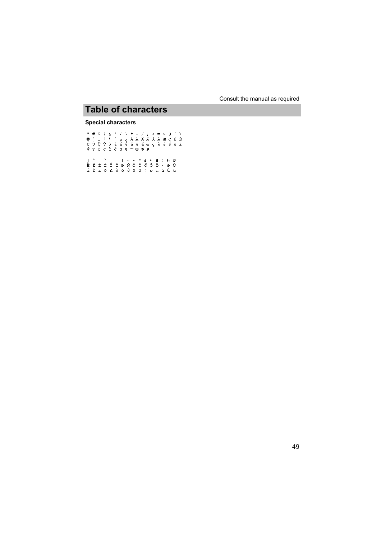## **Table of characters**

#### **Special characters**

у́усссеа∈ ™ © ☆ #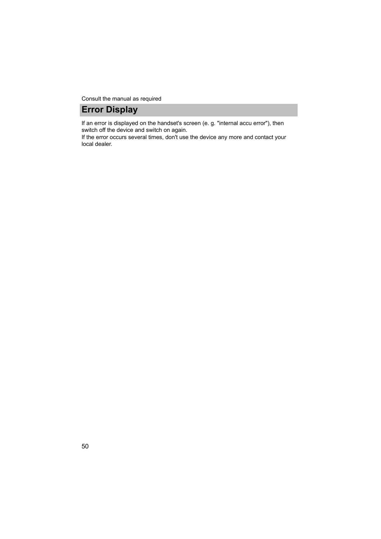Consult the manual as required

## **Error Display**

<span id="page-49-1"></span><span id="page-49-0"></span>If an error is displayed on the handset's screen (e. g. "internal accu error"), then switch off the device and switch on again.

If the error occurs several times, don't use the device any more and contact your local dealer.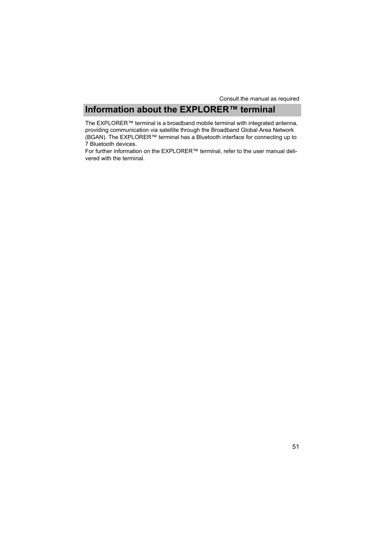## **Information about the EXPLORER™ terminal**

<span id="page-50-1"></span><span id="page-50-0"></span>The EXPLORER™ terminal is a broadband mobile terminal with integrated antenna, providing communication via satellite through the Broadband Global Area Network (BGAN). The EXPLORER™ terminal has a Bluetooth interface for connecting up to 7 Bluetooth devices.

For further information on the EXPLORER™ terminal, refer to the user manual delivered with the terminal.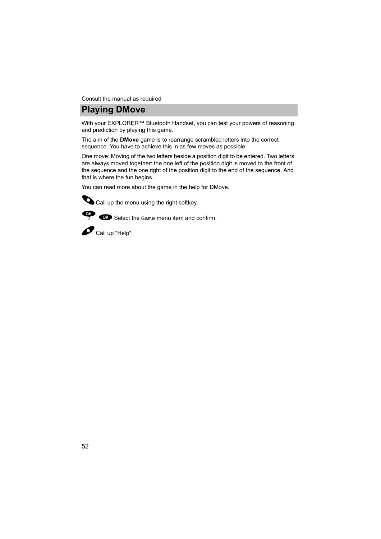Consult the manual as required

## **Playing DMove**

<span id="page-51-1"></span><span id="page-51-0"></span>With your EXPLORER™ Bluetooth Handset, you can test your powers of reasoning and prediction by playing this game.

The aim of the **DMove** game is to rearrange scrambled letters into the correct sequence. You have to achieve this in as few moves as possible.

One move: Moving of the two letters beside a position digit to be entered. Two letters are always moved together: the one left of the position digit is moved to the front of the sequence and the one right of the position digit to the end of the sequence. And that is where the fun begins...

You can read more about the game in the help for DMove.

Call up the menu using the right softkey.

 $\overrightarrow{CP}$   $\overrightarrow{CP}$  Select the Game menu item and confirm.

 $\bullet$  Call up "Help".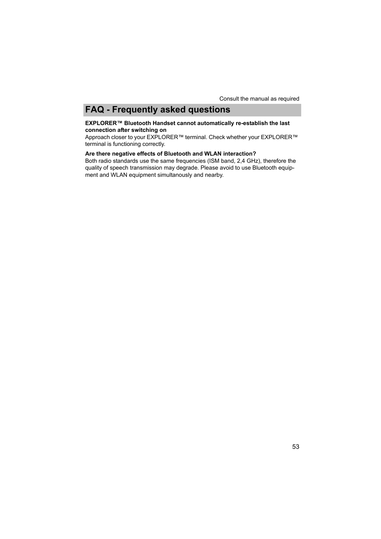# **FAQ - Frequently asked questions**

#### <span id="page-52-1"></span><span id="page-52-0"></span>**EXPLORER™ Bluetooth Handset cannot automatically re-establish the last connection after switching on**

Approach closer to your EXPLORER™ terminal. Check whether your EXPLORER™ terminal is functioning correctly.

## **Are there negative effects of Bluetooth and WLAN interaction?**

Both radio standards use the same frequencies (ISM band, 2,4 GHz), therefore the quality of speech transmission may degrade. Please avoid to use Bluetooth equipment and WLAN equipment simultanously and nearby.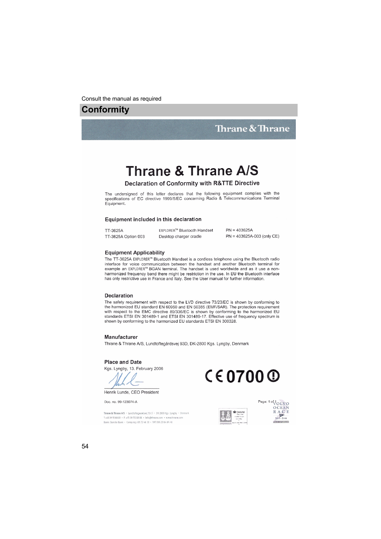## <span id="page-53-1"></span><span id="page-53-0"></span>**Conformity**

## Thrane & Thrane

# Thrane & Thrane A/S

#### Declaration of Conformity with R&TTE Directive

The undersigned of this letter declares that the following equipment complies with the specifications of EC directive 1999/5/EC concerning Radio & Telecommunications Terminal Equipment.

#### Equipment included in this declaration

| TT-3625A            | EXPLORER™ Bluetooth Handset | $PN = 403625A$             |
|---------------------|-----------------------------|----------------------------|
| TT-3625A Option 003 | Desktop charger cradle      | PN = 403625A-003 (only CE) |

#### **Equipment Applicability**

The TT-3625A EXPLORER™ Bluetooth Handset is a cordless telephone using the Bluetooth radio interface for voice communication between the handset and another Bluetooth terminal for example an EXPLORER<sup>TM</sup> BGAN terminal. The handset is used worldwide and as it use a nonharmonized frequency band there might be restriction in the use. In EU the Bluetooth interface has only restrictive use in France and Italy. See the User manual for further information.

#### Declaration

The safety requirement with respect to the LVD directive 73/23/EC is shown by conforming to the harmonized EU standard EN 60950 and EN 50385 (EMF/SAR). The protection requirement with respect to the EMC directive 89/336/EC is shown by conforming to the harmonized EU standards ETSI EN 301489-1 and ETSI EN 301489-17. Effective use of frequency spectrum is shown by conforming to the harmonized EU standards ETSI EN 300328.

#### Manufacturer

Thrane & Thrane A/S, Lundtoftegårdsvej 93D, DK-2800 Kgs. Lyngby, Denmark

#### **Place and Date**

Kgs. Lyngby, 13. February 2006



Doc. no. 99-123074-A

Thrane & Thrane A/S · Lundtoftegaardsvej 93 D · DK-2800 Kgs. Lyngby · Denmark T+4539558800 · F+4539558888 · info@thrane.com · www.thrane.com Bank: Danske Bank · Comp.reg.: 65 72 46 18 · VAT: DK-20 64 64 46





Page: 1 of JOLVO OCEAN RACE  $2005 - 2006$ **CONTRACTOR**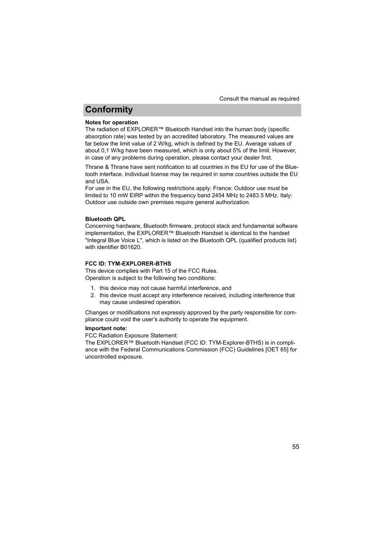# **Conformity**

#### **Notes for operation**

The radiation of EXPLORER™ Bluetooth Handset into the human body (specific absorption rate) was tested by an accredited laboratory. The measured values are far below the limit value of 2 W/kg, which is defined by the EU. Average values of about 0,1 W/kg have been measured, which is only about 5% of the limit. However, in case of any problems during operation, please contact your dealer first.

Thrane & Thrane have sent notification to all countries in the EU for use of the Bluetooth interface. Individual license may be required in some countries outside the EU and USA.

For use in the EU, the following restrictions apply: France: Outdoor use must be limited to 10 mW EIRP within the frequency band 2454 MHz to 2483.5 MHz. Italy: Outdoor use outside own premises require general authorization.

#### **Bluetooth QPL**

Concerning hardware, Bluetooth firmware, protocol stack and fundamental software implementation, the EXPLORER™ Bluetooth Handset is identical to the handset "Integral Blue Voice L", which is listed on the Bluetooth QPL (qualified products list) with identifier B01620.

#### **FCC ID: TYM-EXPLORER-BTHS**

This device complies with Part 15 of the FCC Rules. Operation is subject to the following two conditions:

- 1. this device may not cause harmful interference, and
- 2. this device must accept any interference received, including interference that may cause undesired operation.

Changes or modifications not expressly approved by the party responsible for compliance could void the user's authority to operate the equipment.

#### **Important note:**

FCC Radiation Exposure Statement:

The EXPLORER™ Bluetooth Handset (FCC ID: TYM-Explorer-BTHS) is in compliance with the Federal Communications Commission (FCC) Guidelines [OET 65] for uncontrolled exposure.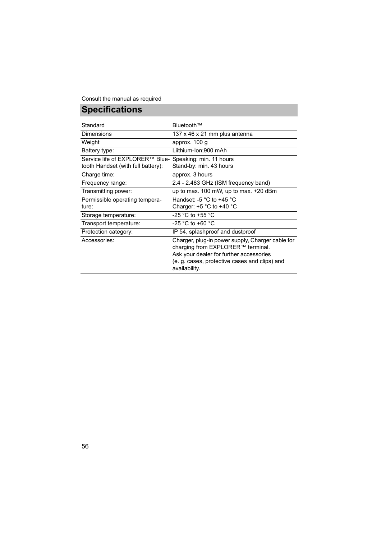# **Specifications**

<span id="page-55-1"></span><span id="page-55-0"></span>

| Standard                                                | Bluetooth™                                                                                                                                                                                         |
|---------------------------------------------------------|----------------------------------------------------------------------------------------------------------------------------------------------------------------------------------------------------|
| <b>Dimensions</b>                                       | 137 x 46 x 21 mm plus antenna                                                                                                                                                                      |
| Weight                                                  | approx. 100 g                                                                                                                                                                                      |
| Battery type:                                           | Liithium-Ion;900 mAh                                                                                                                                                                               |
| Service life of EXPLORER™ Blue- Speaking: min. 11 hours |                                                                                                                                                                                                    |
| tooth Handset (with full battery):                      | Stand-by: min. 43 hours                                                                                                                                                                            |
| Charge time:                                            | approx. 3 hours                                                                                                                                                                                    |
| Frequency range:                                        | 2.4 - 2.483 GHz (ISM frequency band)                                                                                                                                                               |
| Transmitting power:                                     | up to max. 100 mW, up to max. +20 dBm                                                                                                                                                              |
| Permissible operating tempera-                          | Handset: -5 $\degree$ C to +45 $\degree$ C                                                                                                                                                         |
| ture:                                                   | Charger: $+5$ °C to $+40$ °C                                                                                                                                                                       |
| Storage temperature:                                    | -25 $^{\circ}$ C to +55 $^{\circ}$ C                                                                                                                                                               |
| Transport temperature:                                  | $-25$ °C to +60 °C                                                                                                                                                                                 |
| Protection category:                                    | IP 54, splashproof and dustproof                                                                                                                                                                   |
| Accessories:                                            | Charger, plug-in power supply, Charger cable for<br>charging from EXPLORER™ terminal.<br>Ask your dealer for further accessories<br>(e. g. cases, protective cases and clips) and<br>availability. |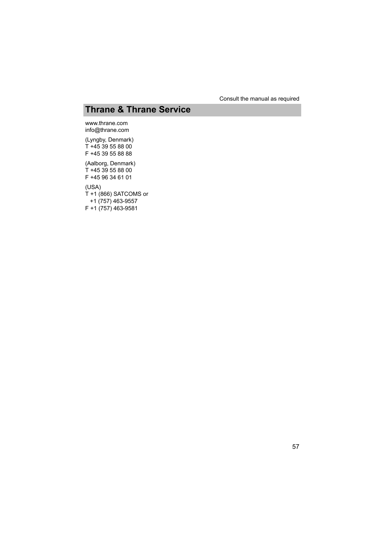# **Thrane & Thrane Service**

<span id="page-56-1"></span><span id="page-56-0"></span>www.thrane.com info@thrane.com

(Lyngby, Denmark) T +45 39 55 88 00 F +45 39 55 88 88 (Aalborg, Denmark)  $T + 4539558800$ F +45 96 34 61 01 (USA) T +1 (866) SATCOMS or +1 (757) 463-9557 F +1 (757) 463-9581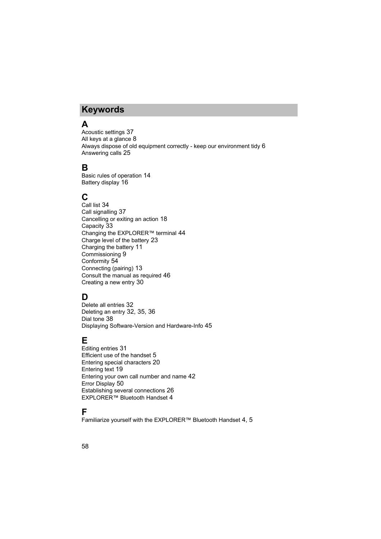# **Keywords**

# <span id="page-57-0"></span>**Keywords A**

Acoustic settings [37](#page-36-2) All keys at a glance [8](#page-7-1) Always dispose of old equipment correctly - keep our environment tid[y 6](#page-5-0) Answering calls [25](#page-24-1)

## **B**

Basic rules of operatio[n 14](#page-13-2) Battery displa[y 16](#page-15-0)

## **C**

Call lis[t 34](#page-33-1) Call signalling [37](#page-36-3) Cancelling or exiting an actio[n 18](#page-17-2) Capacit[y 33](#page-32-0) Changing the EXPLORER™ terminal [44](#page-43-2) Charge level of the battery [23](#page-22-1) Charging the battery [11](#page-10-1) Commissioning [9](#page-8-2) Conformity [54](#page-53-1) Connecting (pairing[\) 13](#page-12-2) Consult the manual as require[d 46](#page-45-2) Creating a new entr[y 30](#page-29-0)

## **D**

Delete all entrie[s 32](#page-31-0) Deleting an entr[y 32,](#page-31-1) [35,](#page-34-1) [36](#page-35-1) Dial tone [38](#page-37-2) Displaying Software-Version and Hardware-Inf[o 45](#page-44-1)

## **E**

Editing entrie[s 31](#page-30-0) Efficient use of the handset [5](#page-4-1) Entering special characters [20](#page-19-1) Entering text [19](#page-18-2) Entering your own call number and nam[e 42](#page-41-1) Error Displa[y 50](#page-49-1) Establishing several connections [26](#page-25-1) EXPLORER™ Bluetooth Handset [4](#page-3-2)

## **F**

Familiarize yourself with the EXPLORER™ Bluetooth Handse[t 4,](#page-3-2) [5](#page-4-2)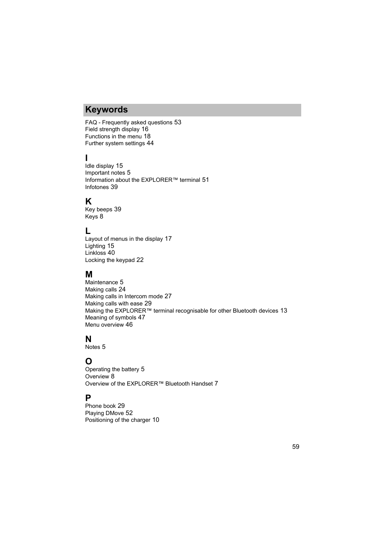# **Keywords**

FAQ - Frequently asked question[s 53](#page-52-1) Field strength display [16](#page-15-1) Functions in the menu [18](#page-17-3) Further system setting[s 44](#page-43-1)

# **I**

Idle displa[y 15](#page-14-2) Important notes [5](#page-4-2) Information about the EXPLORER™ terminal [51](#page-50-1) Infotone[s 39](#page-38-2)

## **K**

Key beeps [39](#page-38-3) Key[s 8](#page-7-2)

## **L**

Layout of menus in the display [17](#page-16-1) Lighting [15](#page-14-3) Linkloss [40](#page-39-0) Locking the keypad [22](#page-21-1)

## **M**

Maintenance [5](#page-4-3) Making calls [24](#page-23-2) Making calls in Intercom mod[e 27](#page-26-1) Making calls with ease [29](#page-28-2) Making the EXPLORER™ terminal recognisable for other Bluetooth devices [13](#page-12-3) Meaning of symbols [47](#page-46-1) Menu overview [46](#page-45-3)

## **N**

Notes [5](#page-4-4)

## **O**

Operating the battery [5](#page-4-5) Overview [8](#page-7-2) Overview of the FXPI ORFR™ Bluetooth Handse[t 7](#page-6-1)

## **P**

Phone book [29](#page-28-3) Playing DMove [52](#page-51-1) Positioning of the charger [10](#page-9-1)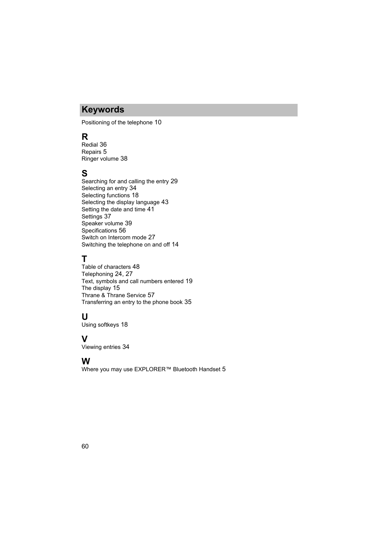# **Keywords**

Positioning of the telephon[e 10](#page-9-2)

# **R**

Redial [36](#page-35-2) Repair[s 5](#page-4-6) Ringer volum[e 38](#page-37-3)

# **S**

Searching for and calling the entry [29](#page-28-4) Selecting an entr[y 34](#page-33-2) Selecting functions [18](#page-17-4) Selecting the display languag[e 43](#page-42-1) Setting the date and tim[e 41](#page-40-1) Settings [37](#page-36-4) Speaker volum[e 39](#page-38-4) Specifications [56](#page-55-1) Switch on Intercom mode [27](#page-26-2) Switching the telephone on and of[f 14](#page-13-3)

# **T**

Table of character[s 48](#page-47-1) Telephoning [24,](#page-23-3) [27](#page-26-3) Text, symbols and call numbers entered [19](#page-18-3) The displa[y 15](#page-14-4) Thrane & Thrane Service [57](#page-56-1) Transferring an entry to the phone boo[k 35](#page-34-2)

## **U**

Using softkeys [18](#page-17-5)

## **V**

Viewing entrie[s 34](#page-33-3)

## **W**

Where you may use EXPLORER™ Bluetooth Handse[t 5](#page-4-4)